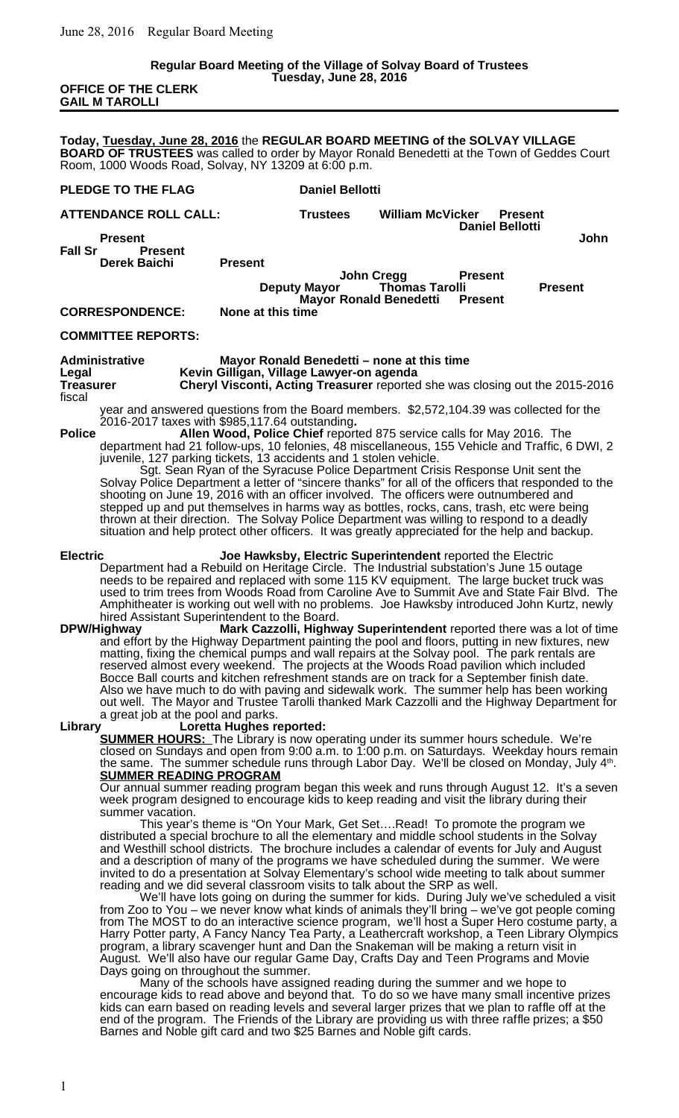### **Regular Board Meeting of the Village of Solvay Board of Trustees Tuesday, June 28, 2016**

### **OFFICE OF THE CLERK GAIL M TAROLLI**

**Today, Tuesday, June 28, 2016** the **REGULAR BOARD MEETING of the SOLVAY VILLAGE BOARD OF TRUSTEES** was called to order by Mayor Ronald Benedetti at the Town of Geddes Court Room, 1000 Woods Road, Solvay, NY 13209 at 6:00 p.m. **PLEDGE TO THE FLAG** Daniel Bellotti **ATTENDANCE ROLL CALL: Trustees William McVicker Present Daniel Bellotti Present John Fall Sr Present Derek Baichi Present John Cregg Present Deputy Mayor Cregg Present Thomas Tarolli Present**<br>**Benedetti Present Mayor Ronald Benedetti**<br>**None at this time CORRESPONDENCE: COMMITTEE REPORTS: Administrative Mayor Ronald Benedetti – none at this time Legal Kevin Gilligan, Village Lawyer-on agenda Treasurer Cheryl Visconti, Acting Treasurer** reported she was closing out the 2015-2016 fiscal year and answered questions from the Board members. \$2,572,104.39 was collected for the 2016-2017 taxes with \$985,117.64 outstanding**. Police Allen Wood, Police Chief** reported 875 service calls for May 2016. The department had 21 follow-ups, 10 felonies, 48 miscellaneous, 155 Vehicle and Traffic, 6 DWI, 2 juvenile, 127 parking tickets, 13 accidents and 1 stolen vehicle. Sgt. Sean Ryan of the Syracuse Police Department Crisis Response Unit sent the Solvay Police Department a letter of "sincere thanks" for all of the officers that responded to the shooting on June 19, 2016 with an officer involved. The officers were outnumbered and stepped up and put themselves in harms way as bottles, rocks, cans, trash, etc were being thrown at their direction. The Solvay Police Department was willing to respond to a deadly situation and help protect other officers. It was greatly appreciated for the help and backup. **Electric Joe Hawksby, Electric Superintendent** reported the Electric Department had a Rebuild on Heritage Circle. The Industrial substation's June 15 outage needs to be repaired and replaced with some 115 KV equipment. The large bucket truck was used to trim trees from Woods Road from Caroline Ave to Summit Ave and State Fair Blvd. The Amphitheater is working out well with no problems. Joe Hawksby introduced John Kurtz, newly hired Assistant Superintendent to the Board.<br>Mark Cazzolli, Highway Mark Cazzolli **DPW/Highway Mark Cazzolli, Highway Superintendent** reported there was a lot of time and effort by the Highway Department painting the pool and floors, putting in new fixtures, new matting, fixing the chemical pumps and wall repairs at the Solvay pool. The park rentals are

reserved almost every weekend. The projects at the Woods Road pavilion which included Bocce Ball courts and kitchen refreshment stands are on track for a September finish date. Also we have much to do with paving and sidewalk work. The summer help has been working out well. The Mayor and Trustee Tarolli thanked Mark Cazzolli and the Highway Department for a great job at the pool and parks.<br>Library Loretta Hughes re

**Library Loretta Hughes reported:**

**SUMMER HOURS:** The Library is now operating under its summer hours schedule. We're closed on Sundays and open from 9:00 a.m. to 1:00 p.m. on Saturdays. Weekday hours remain the same. The summer schedule runs through Labor Day. We'll be closed on Monday, July 4<sup>th</sup>. **SUMMER READING PROGRAM**

Our annual summer reading program began this week and runs through August 12. It's a seven week program designed to encourage kids to keep reading and visit the library during their summer vacation.

This year's theme is "On Your Mark, Get Set….Read! To promote the program we distributed a special brochure to all the elementary and middle school students in the Solvay and Westhill school districts. The brochure includes a calendar of events for July and August and a description of many of the programs we have scheduled during the summer. We were invited to do a presentation at Solvay Elementary's school wide meeting to talk about summer reading and we did several classroom visits to talk about the SRP as well.

We'll have lots going on during the summer for kids. During July we've scheduled a visit from Zoo to You – we never know what kinds of animals they'll bring – we've got people coming from The MOST to do an interactive science program, we'll host a Super Hero costume party, a Harry Potter party, A Fancy Nancy Tea Party, a Leathercraft workshop, a Teen Library Olympics program, a library scavenger hunt and Dan the Snakeman will be making a return visit in August. We'll also have our regular Game Day, Crafts Day and Teen Programs and Movie Days going on throughout the summer.

Many of the schools have assigned reading during the summer and we hope to encourage kids to read above and beyond that. To do so we have many small incentive prizes kids can earn based on reading levels and several larger prizes that we plan to raffle off at the end of the program. The Friends of the Library are providing us with three raffle prizes; a \$50 Barnes and Noble gift card and two \$25 Barnes and Noble gift cards.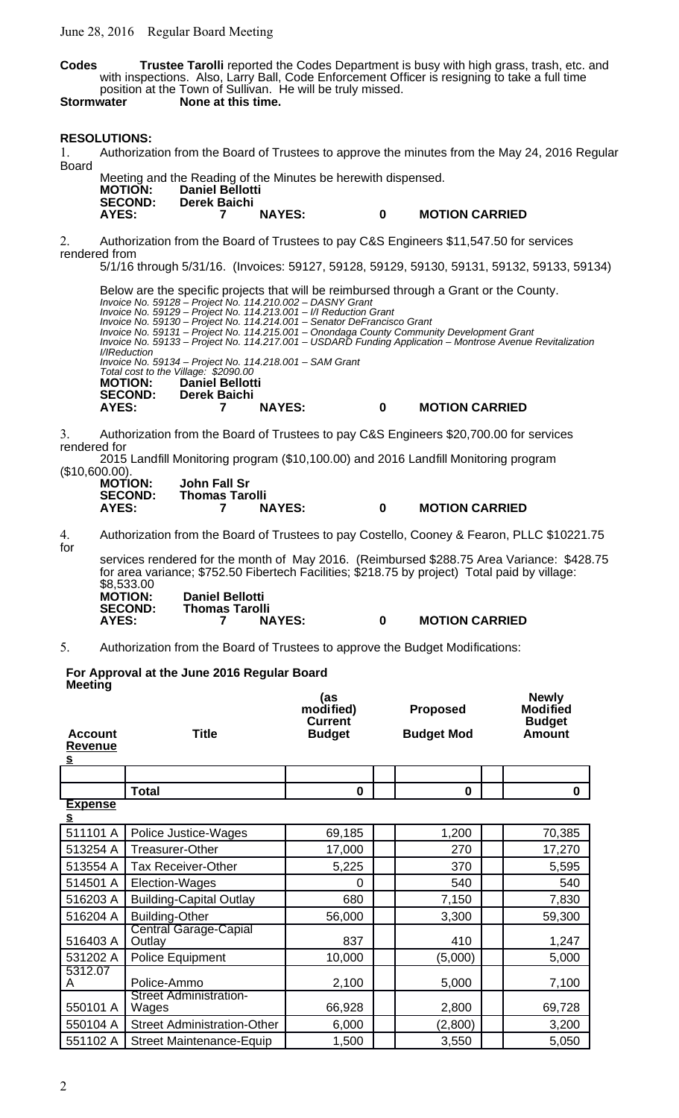June 28, 2016 Regular Board Meeting

**Codes Trustee Tarolli** reported the Codes Department is busy with high grass, trash, etc. and with inspections. Also, Larry Ball, Code Enforcement Officer is resigning to take a full time position at the Town of Sullivan. He will be truly missed.<br>Stormwater Mone at this time.

**None at this time.** 

### **RESOLUTIONS:**

1. Authorization from the Board of Trustees to approve the minutes from the May 24, 2016 Regular Board

|                |                        |               | Meeting and the Reading of the Minutes be herewith dispensed. |                       |
|----------------|------------------------|---------------|---------------------------------------------------------------|-----------------------|
| <b>MOTION:</b> | <b>Daniel Bellotti</b> |               |                                                               |                       |
| <b>SECOND:</b> | Derek Baichi           |               |                                                               |                       |
| AYES:          |                        | <b>NAYES:</b> | n                                                             | <b>MOTION CARRIED</b> |

2. Authorization from the Board of Trustees to pay C&S Engineers \$11,547.50 for services rendered from

5/1/16 through 5/31/16. (Invoices: 59127, 59128, 59129, 59130, 59131, 59132, 59133, 59134)

Below are the specific projects that will be reimbursed through a Grant or the County. Invoice No. 59128 – Project No. 114.210.002 – DASNY Grant Invoice No. 59129 – Project No. 114.213.001 – I/I Reduction Grant Invoice No. 59130 – Project No. 114.214.001 – Senator DeFrancisco Grant Invoice No. 59131 – Project No. 114.215.001 – Onondaga County Community Development Grant Invoice No. 59133 – Project No. 114.217.001 – USDARD Funding Application – Montrose Avenue Revitalization I/IReduction Invoice No. 59134 – Project No. 114.218.001 – SAM Grant Total cost to the Village: \$2090.00  **MOTION: Daniel Bellotti SECOND: Derek Baichi AYES: 7 NAYES: 0 MOTION CARRIED**

3. Authorization from the Board of Trustees to pay C&S Engineers \$20,700.00 for services rendered for 2015 Landfill Monitoring program (\$10,100.00) and 2016 Landfill Monitoring program

 $($10,600$ 

| <b>U.600.00).</b> |                       |   |
|-------------------|-----------------------|---|
| <b>MOTION:</b>    | John Fall Sr          |   |
| <b>SECOND:</b>    | <b>Thomas Tarolli</b> |   |
| AYES:             | <b>NAYES:</b>         | 0 |

4. Authorization from the Board of Trustees to pay Costello, Cooney & Fearon, PLLC \$10221.75 for

services rendered for the month of May 2016. (Reimbursed \$288.75 Area Variance: \$428.75 for area variance; \$752.50 Fibertech Facilities; \$218.75 by project) Total paid by village:

**AYES: 7 NAYES: 0 MOTION CARRIED**

**Newly**

| \$8,533.00     |                        |               |   |                       |
|----------------|------------------------|---------------|---|-----------------------|
| <b>MOTION:</b> | <b>Daniel Bellotti</b> |               |   |                       |
| <b>SECOND:</b> | <b>Thomas Tarolli</b>  |               |   |                       |
| AYES:          |                        | <b>NAYES:</b> | 0 | <b>MOTION CARRIED</b> |

5. Authorization from the Board of Trustees to approve the Budget Modifications:

### **For Approval at the June 2016 Regular Board Meeting (as**

| <b>Account</b><br><b>Revenue</b><br><u>s</u> | <b>Title</b>                           | (аэ<br>modified)<br><b>Current</b><br><b>Budget</b> | <b>Proposed</b><br><b>Budget Mod</b> | <b>INGMIN</b><br><b>Modified</b><br><b>Budget</b><br><b>Amount</b> |
|----------------------------------------------|----------------------------------------|-----------------------------------------------------|--------------------------------------|--------------------------------------------------------------------|
|                                              |                                        |                                                     |                                      |                                                                    |
|                                              | <b>Total</b>                           | $\mathbf 0$                                         | $\bf{0}$                             | $\mathbf 0$                                                        |
| <u>Expense</u><br><u>s</u>                   |                                        |                                                     |                                      |                                                                    |
| 511101 A                                     | Police Justice-Wages                   | 69,185                                              | 1,200                                | 70,385                                                             |
| 513254 A                                     | Treasurer-Other                        | 17,000                                              | 270                                  | 17,270                                                             |
| 513554 A                                     | <b>Tax Receiver-Other</b>              | 5,225                                               | 370                                  | 5,595                                                              |
| 514501 A                                     | Election-Wages                         | 0                                                   | 540                                  | 540                                                                |
| 516203 A                                     | <b>Building-Capital Outlay</b>         | 680                                                 | 7,150                                | 7,830                                                              |
| 516204 A                                     | <b>Building-Other</b>                  | 56,000                                              | 3,300                                | 59,300                                                             |
| 516403 A                                     | <b>Central Garage-Capial</b><br>Outlay | 837                                                 | 410                                  | 1,247                                                              |
| 531202 A                                     | Police Equipment                       | 10,000                                              | (5,000)                              | 5,000                                                              |
| 5312.07<br>A                                 | Police-Ammo                            | 2,100                                               | 5,000                                | 7,100                                                              |
| 550101 A                                     | <b>Street Administration-</b><br>Wages | 66,928                                              | 2,800                                | 69,728                                                             |
| 550104 A                                     | <b>Street Administration-Other</b>     | 6,000                                               | (2,800)                              | 3,200                                                              |
| 551102 A                                     | <b>Street Maintenance-Equip</b>        | 1,500                                               | 3,550                                | 5,050                                                              |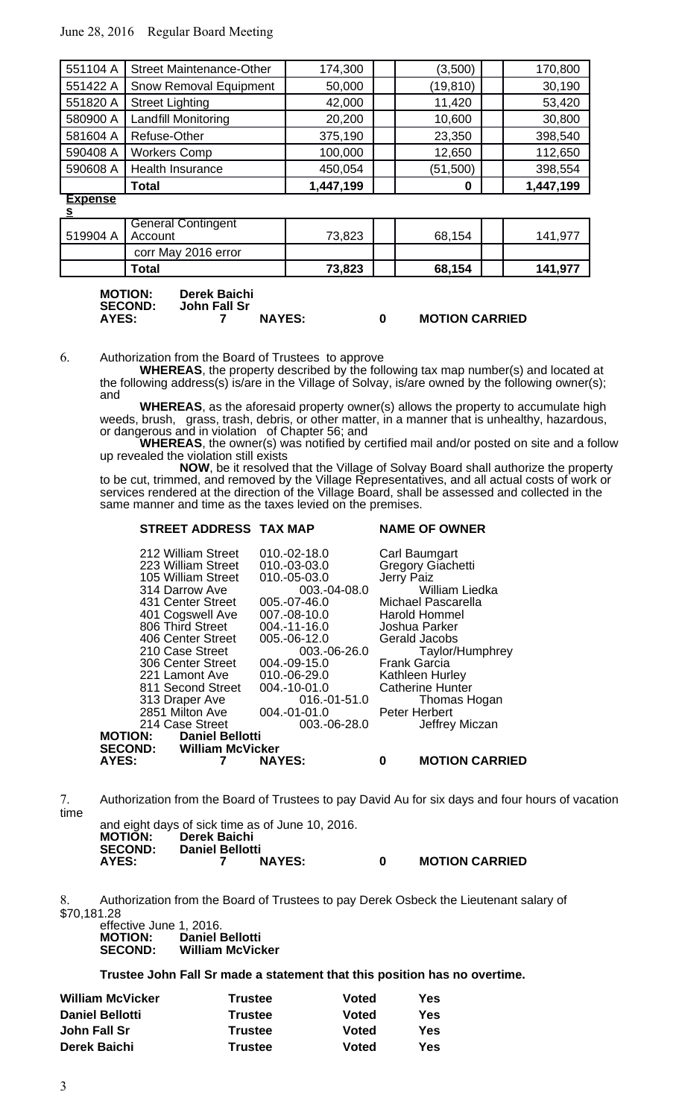## June 28, 2016 Regular Board Meeting

| 551104 A       | <b>Street Maintenance-Other</b> | 174,300   | (3,500)   | 170,800   |
|----------------|---------------------------------|-----------|-----------|-----------|
| 551422 A       | Snow Removal Equipment          | 50,000    | (19, 810) | 30,190    |
| 551820 A       | <b>Street Lighting</b>          | 42,000    | 11,420    | 53,420    |
| 580900 A       | Landfill Monitoring             | 20,200    | 10,600    | 30,800    |
| 581604 A       | Refuse-Other                    | 375,190   | 23,350    | 398,540   |
| 590408 A       | <b>Workers Comp</b>             | 100,000   | 12,650    | 112,650   |
| 590608 A       | Health Insurance                | 450,054   | (51, 500) | 398,554   |
|                | <b>Total</b>                    | 1,447,199 | 0         | 1,447,199 |
| <u>Expense</u> |                                 |           |           |           |
| <u>s</u>       |                                 |           |           |           |

| $519904 A$   Account | <b>General Contingent</b> | 73,823 | 68,154 | 141.97  |
|----------------------|---------------------------|--------|--------|---------|
|                      | corr May 2016 error       |        |        |         |
|                      | Total                     | 73,823 | 68,154 | 141,977 |

| <b>MOTION:</b> | Derek Baichi |               |                       |
|----------------|--------------|---------------|-----------------------|
| <b>SECOND:</b> | John Fall Sr |               |                       |
| AYES:          |              | <b>NAYES:</b> | <b>MOTION CARRIED</b> |

6. Authorization from the Board of Trustees to approve

**WHEREAS**, the property described by the following tax map number(s) and located at the following address(s) is/are in the Village of Solvay, is/are owned by the following owner(s); and

**WHEREAS**, as the aforesaid property owner(s) allows the property to accumulate high weeds, brush, grass, trash, debris, or other matter, in a manner that is unhealthy, hazardous, or dangerous and in violation of Chapter 56; and

**WHEREAS**, the owner(s) was notified by certified mail and/or posted on site and a follow up revealed the violation still exists

**NOW**, be it resolved that the Village of Solvay Board shall authorize the property to be cut, trimmed, and removed by the Village Representatives, and all actual costs of work or services rendered at the direction of the Village Board, shall be assessed and collected in the same manner and time as the taxes levied on the premises.

### **STREET ADDRESS TAX MAP NAME OF OWNER**

| AYES:          |                         | <b>NAYES:</b>  | <b>MOTION CARRIED</b><br>0 |
|----------------|-------------------------|----------------|----------------------------|
| <b>SECOND:</b> | <b>William McVicker</b> |                |                            |
| <b>MOTION:</b> | <b>Daniel Bellotti</b>  |                |                            |
|                | 214 Case Street         | 003.-06-28.0   | Jeffrey Miczan             |
|                | 2851 Milton Ave         | 004.-01-01.0   | Peter Herbert              |
|                | 313 Draper Ave          | 016.-01-51.0   | Thomas Hogan               |
|                | 811 Second Street       | 004.-10-01.0   | <b>Catherine Hunter</b>    |
|                | 221 Lamont Ave          | 010.-06-29.0   | Kathleen Hurley            |
|                | 306 Center Street       | 004.-09-15.0   | <b>Frank Garcia</b>        |
|                | 210 Case Street         | 003.-06-26.0   | Taylor/Humphrey            |
|                | 406 Center Street       | 005.-06-12.0   | Gerald Jacobs              |
|                | 806 Third Street        | 004.-11-16.0   | Joshua Parker              |
|                | 401 Cogswell Ave        | 007.-08-10.0   | <b>Harold Hommel</b>       |
|                | 431 Center Street       | 005.-07-46.0   | Michael Pascarella         |
|                | 314 Darrow Ave          | 003.-04-08.0   | <b>William Liedka</b>      |
|                | 105 William Street      | 010.-05-03.0   | Jerry Paiz                 |
|                | 223 William Street      | $010.-03-03.0$ | Gregory Giachetti          |
|                | 212 William Street      | $010.-02-18.0$ | Carl Baumgart              |
|                |                         |                |                            |

7. Authorization from the Board of Trustees to pay David Au for six days and four hours of vacation time

|                |                        | and eight days of sick time as of June 10, 2016. |   |                       |
|----------------|------------------------|--------------------------------------------------|---|-----------------------|
| MOTIÓN:        | Derek Baichi           |                                                  |   |                       |
| <b>SECOND:</b> | <b>Daniel Bellotti</b> |                                                  |   |                       |
| AYES:          |                        | <b>NAYES:</b>                                    | n | <b>MOTION CARRIED</b> |

Authorization from the Board of Trustees to pay Derek Osbeck the Lieutenant salary of \$70,181.28

effective June 1, 2016.<br>**MOTION:** Daniel I **MOTION: Daniel Bellotti SECOND: William McVicker**

**Trustee John Fall Sr made a statement that this position has no overtime.**

| <b>William McVicker</b> | <b>Trustee</b> | <b>Voted</b> | Yes |
|-------------------------|----------------|--------------|-----|
| <b>Daniel Bellotti</b>  | <b>Trustee</b> | <b>Voted</b> | Yes |
| John Fall Sr            | <b>Trustee</b> | <b>Voted</b> | Yes |
| Derek Baichi            | <b>Trustee</b> | <b>Voted</b> | Yes |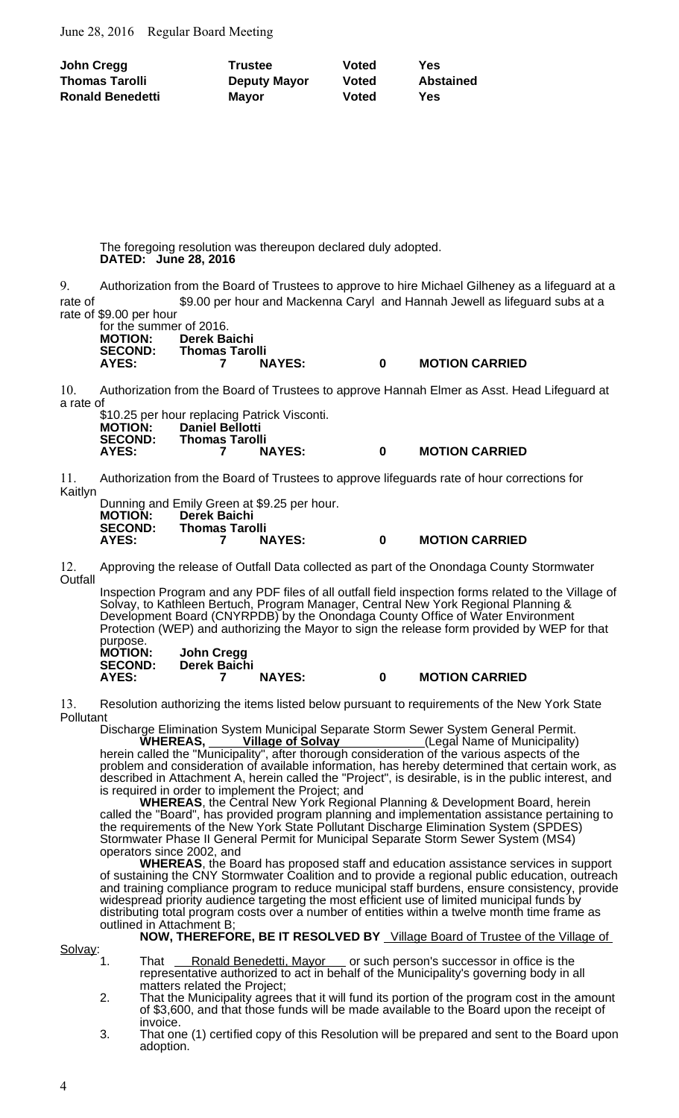| John Cregg              | <b>Trustee</b>      | Voted | Yes              |
|-------------------------|---------------------|-------|------------------|
| <b>Thomas Tarolli</b>   | <b>Deputy Mayor</b> | Voted | <b>Abstained</b> |
| <b>Ronald Benedetti</b> | Mayor               | Voted | Yes              |

The foregoing resolution was thereupon declared duly adopted. **DATED: June 28, 2016**

9. Authorization from the Board of Trustees to approve to hire Michael Gilheney as a lifeguard at a rate of  $$9.00$  per hour and Mackenna Caryl and Hannah Jewell as lifeguard subs at a rate of \$9.00 per hour

for the summer of 2016.<br>**MOTION:** Derek Ba **MOTION: Derek Baichi SECOND: Thomas Tarolli AYES: 7 NAYES: 0 MOTION CARRIED**

10. Authorization from the Board of Trustees to approve Hannah Elmer as Asst. Head Lifeguard at a rate of

|                |                        | \$10.25 per hour replacing Patrick Visconti. |   |                       |
|----------------|------------------------|----------------------------------------------|---|-----------------------|
| <b>MOTION:</b> | <b>Daniel Bellotti</b> |                                              |   |                       |
| <b>SECOND:</b> | <b>Thomas Tarolli</b>  |                                              |   |                       |
| AYES:          |                        | <b>NAYES:</b>                                | n | <b>MOTION CARRIED</b> |

11. Authorization from the Board of Trustees to approve lifeguards rate of hour corrections for Kaitlyn

|                |                       | Dunning and Emily Green at \$9.25 per hour. |   |                       |
|----------------|-----------------------|---------------------------------------------|---|-----------------------|
| <b>MOTION:</b> | Derek Baichi          |                                             |   |                       |
| <b>SECOND:</b> | <b>Thomas Tarolli</b> |                                             |   |                       |
| AYES:          |                       | <b>NAYES:</b>                               | n | <b>MOTION CARRIED</b> |

12. Approving the release of Outfall Data collected as part of the Onondaga County Stormwater **Outfall** 

Inspection Program and any PDF files of all outfall field inspection forms related to the Village of Solvay, to Kathleen Bertuch, Program Manager, Central New York Regional Planning & Development Board (CNYRPDB) by the Onondaga County Office of Water Environment Protection (WEP) and authorizing the Mayor to sign the release form provided by WEP for that purpose.<br>**MOTION: MOTION: John Cregg**

**SECOND: Derek Baichi AYES: 7 NAYES: 0 MOTION CARRIED**

13. Resolution authorizing the items listed below pursuant to requirements of the New York State Pollutant

Discharge Elimination System Municipal Separate Storm Sewer System General Permit.

**WHEREAS, Contrary Contrary Contrary (Contrary Contrary WHEREAS, Contrary Village of Solvay Contrary (Legal Name of Municipality)** herein called the "Municipality", after thorough consideration of the various aspects of the problem and consideration of available information, has hereby determined that certain work, as described in Attachment A, herein called the "Project", is desirable, is in the public interest, and is required in order to implement the Project; and

**WHEREAS**, the Central New York Regional Planning & Development Board, herein called the "Board", has provided program planning and implementation assistance pertaining to the requirements of the New York State Pollutant Discharge Elimination System (SPDES) Stormwater Phase II General Permit for Municipal Separate Storm Sewer System (MS4) operators since 2002, and

**WHEREAS**, the Board has proposed staff and education assistance services in support of sustaining the CNY Stormwater Coalition and to provide a regional public education, outreach and training compliance program to reduce municipal staff burdens, ensure consistency, provide widespread priority audience targeting the most efficient use of limited municipal funds by distributing total program costs over a number of entities within a twelve month time frame as outlined in Attachment B;

Solvay:<br>1.

**NOW, THEREFORE, BE IT RESOLVED BY** Village Board of Trustee of the Village of

- 1. That *\_\_\_ Ronald Benedetti, Mayor \_\_\_ or such person's successor in office is the* representative authorized to act in behalf of the Municipality's governing body in all matters related the Project;
- 2. That the Municipality agrees that it will fund its portion of the program cost in the amount of \$3,600, and that those funds will be made available to the Board upon the receipt of invoice.
- 3. That one (1) certified copy of this Resolution will be prepared and sent to the Board upon adoption.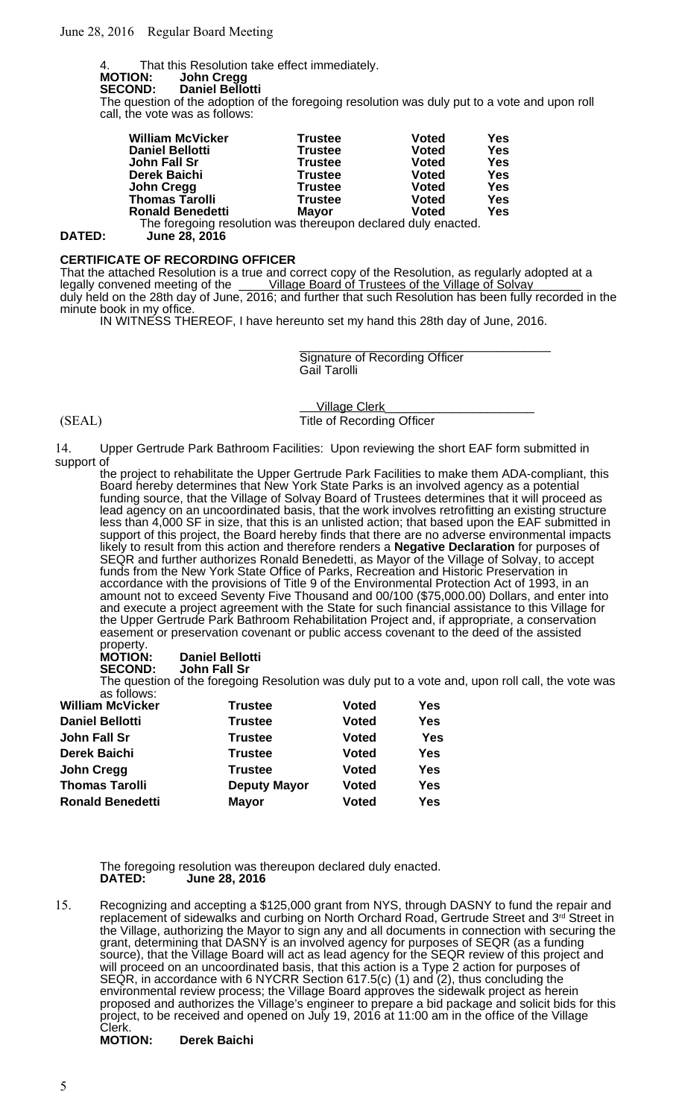4. That this Resolution take effect immediately.<br>**MOTION:** John Cregg

**MOTION: John Cregg SECOND: Daniel Bellotti**

The question of the adoption of the foregoing resolution was duly put to a vote and upon roll call, the vote was as follows:

| <b>William McVicker</b>                                       | <b>Trustee</b> | <b>Voted</b> | Yes        |
|---------------------------------------------------------------|----------------|--------------|------------|
| <b>Daniel Bellotti</b>                                        | <b>Trustee</b> | <b>Voted</b> | <b>Yes</b> |
| John Fall Sr                                                  | <b>Trustee</b> | <b>Voted</b> | <b>Yes</b> |
| <b>Derek Baichi</b>                                           | <b>Trustee</b> | <b>Voted</b> | <b>Yes</b> |
| <b>John Cregg</b>                                             | <b>Trustee</b> | <b>Voted</b> | <b>Yes</b> |
| <b>Thomas Tarolli</b>                                         | <b>Trustee</b> | <b>Voted</b> | Yes        |
| <b>Ronald Benedetti</b>                                       | <b>Mayor</b>   | <b>Voted</b> | Yes        |
| The foregoing resolution was thereupon declared duly enacted. |                |              |            |

**DATED: June 28, 2016**

# **CERTIFICATE OF RECORDING OFFICER**

That the attached Resolution is a true and correct copy of the Resolution, as regularly adopted at a legally convened meeting of the <u>Village Board of Trustees of the Village of Solvay</u> legally convened meeting of the Village Board of Trustees of the Village of Solvay<br>duly held on the 28th day of June, 2016; and further that such Resolution has been fully recorded in the minute book in my office.

IN WITNESS THEREOF, I have hereunto set my hand this 28th day of June, 2016.

Signature of Recording Officer Gail Tarolli

\_\_\_\_\_\_\_\_\_\_\_\_\_\_\_\_\_\_\_\_\_\_\_\_\_\_\_\_\_\_\_\_\_\_\_\_\_

Village Clerk (SEAL) Title of Recording Officer

14. Upper Gertrude Park Bathroom Facilities: Upon reviewing the short EAF form submitted in support of

the project to rehabilitate the Upper Gertrude Park Facilities to make them ADA-compliant, this Board hereby determines that New York State Parks is an involved agency as a potential funding source, that the Village of Solvay Board of Trustees determines that it will proceed as lead agency on an uncoordinated basis, that the work involves retrofitting an existing structure less than 4,000 SF in size, that this is an unlisted action; that based upon the EAF submitted in support of this project, the Board hereby finds that there are no adverse environmental impacts likely to result from this action and therefore renders a **Negative Declaration** for purposes of SEQR and further authorizes Ronald Benedetti, as Mayor of the Village of Solvay, to accept funds from the New York State Office of Parks, Recreation and Historic Preservation in accordance with the provisions of Title 9 of the Environmental Protection Act of 1993, in an amount not to exceed Seventy Five Thousand and 00/100 (\$75,000.00) Dollars, and enter into and execute a project agreement with the State for such financial assistance to this Village for the Upper Gertrude Park Bathroom Rehabilitation Project and, if appropriate, a conservation easement or preservation covenant or public access covenant to the deed of the assisted property.<br>**MOTION:** 

### **MOTION: Daniel Bellotti John Fall Sr**

The question of the foregoing Resolution was duly put to a vote and, upon roll call, the vote was as follows:

| <b>William McVicker</b> | <b>Trustee</b>      | <b>Voted</b> | Yes        |
|-------------------------|---------------------|--------------|------------|
| <b>Daniel Bellotti</b>  | <b>Trustee</b>      | <b>Voted</b> | Yes        |
| <b>John Fall Sr</b>     | <b>Trustee</b>      | <b>Voted</b> | <b>Yes</b> |
| <b>Derek Baichi</b>     | <b>Trustee</b>      | <b>Voted</b> | Yes        |
| <b>John Cregg</b>       | <b>Trustee</b>      | <b>Voted</b> | Yes        |
| <b>Thomas Tarolli</b>   | <b>Deputy Mayor</b> | <b>Voted</b> | Yes        |
| <b>Ronald Benedetti</b> | <b>Mayor</b>        | <b>Voted</b> | Yes        |
|                         |                     |              |            |

The foregoing resolution was thereupon declared duly enacted.<br>DATED: June 28, 2016 **DATED: June 28, 2016**

15. Recognizing and accepting a \$125,000 grant from NYS, through DASNY to fund the repair and replacement of sidewalks and curbing on North Orchard Road, Gertrude Street and 3<sup>rd</sup> Street in the Village, authorizing the Mayor to sign any and all documents in connection with securing the grant, determining that DASNY is an involved agency for purposes of SEQR (as a funding source), that the Village Board will act as lead agency for the SEQR review of this project and will proceed on an uncoordinated basis, that this action is a Type 2 action for purposes of SEQR, in accordance with 6 NYCRR Section 617.5(c) (1) and (2), thus concluding the environmental review process; the Village Board approves the sidewalk project as herein proposed and authorizes the Village's engineer to prepare a bid package and solicit bids for this project, to be received and opened on July 19, 2016 at 11:00 am in the office of the Village Clerk.<br>MOTION:

## **MOTION: Derek Baichi**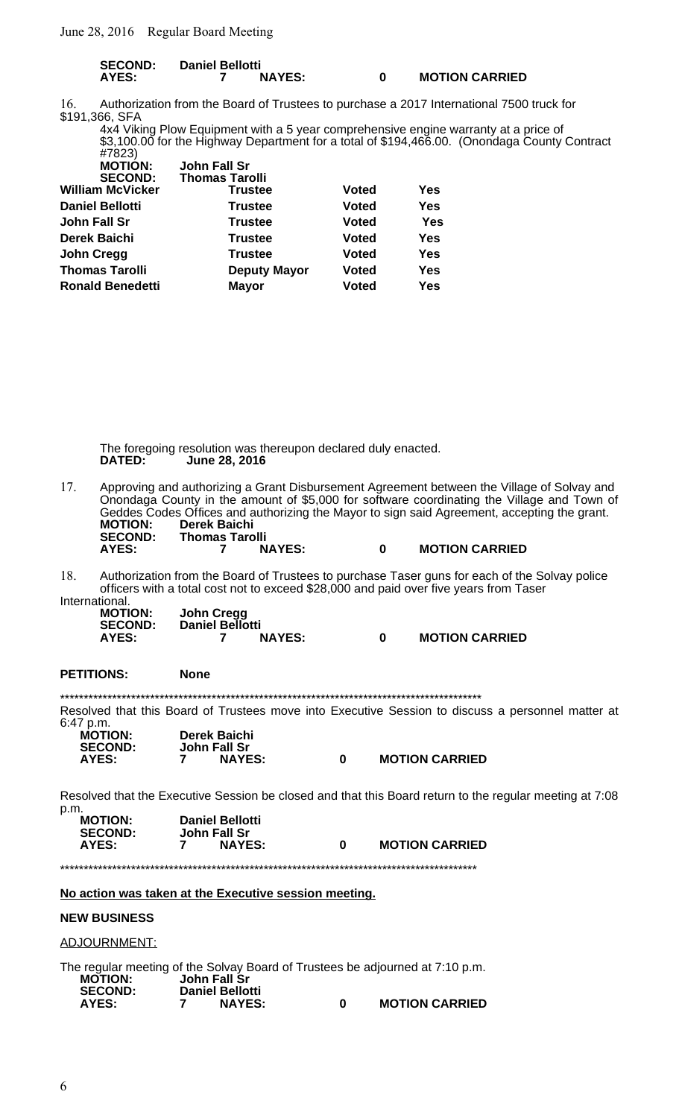| <b>SECOND:</b> | <b>Daniel Bellotti</b> |               |  |                       |
|----------------|------------------------|---------------|--|-----------------------|
| AYES:          |                        | <b>NAYES:</b> |  | <b>MOTION CARRIED</b> |

16. Authorization from the Board of Trustees to purchase a 2017 International 7500 truck for \$191,366, SFA

4x4 Viking Plow Equipment with a 5 year comprehensive engine warranty at a price of \$3,100.00 for the Highway Department for a total of \$194,466.00. (Onondaga County Contract #7823)

| <b>MOTION:</b>          | <b>John Fall Sr</b>   |              |            |
|-------------------------|-----------------------|--------------|------------|
| <b>SECOND:</b>          | <b>Thomas Tarolli</b> |              |            |
| <b>William McVicker</b> | <b>Trustee</b>        | <b>Voted</b> | Yes        |
| <b>Daniel Bellotti</b>  | <b>Trustee</b>        | <b>Voted</b> | Yes        |
| <b>John Fall Sr</b>     | <b>Trustee</b>        | <b>Voted</b> | <b>Yes</b> |
| <b>Derek Baichi</b>     | <b>Trustee</b>        | <b>Voted</b> | Yes        |
| <b>John Cregg</b>       | <b>Trustee</b>        | <b>Voted</b> | Yes        |
| <b>Thomas Tarolli</b>   | <b>Deputy Mayor</b>   | <b>Voted</b> | Yes        |
| <b>Ronald Benedetti</b> | <b>Mayor</b>          | <b>Voted</b> | <b>Yes</b> |

The foregoing resolution was thereupon declared duly enacted.<br>DATED: June 28, 2016 **DATED: June 28, 2016**

- 17. Approving and authorizing a Grant Disbursement Agreement between the Village of Solvay and Onondaga County in the amount of \$5,000 for software coordinating the Village and Town of Geddes Codes Offices and authorizing the Mayor to sign said Agreement, accepting the grant. **MOTION: Derek Baichi SECOND: Thomas Tarolli AYES: 7 NAYES: 0 MOTION CARRIED**
- 18. Authorization from the Board of Trustees to purchase Taser guns for each of the Solvay police officers with a total cost not to exceed \$28,000 and paid over five years from Taser International.

| John Cregg             |                       |
|------------------------|-----------------------|
| <b>Daniel Bellotti</b> |                       |
| <b>NAYES:</b>          | <b>MOTION CARRIED</b> |
|                        |                       |

**PETITIONS: None** 

\*\*\*\*\*\*\*\*\*\*\*\*\*\*\*\*\*\*\*\*\*\*\*\*\*\*\*\*\*\*\*\*\*\*\*\*\*\*\*\*\*\*\*\*\*\*\*\*\*\*\*\*\*\*\*\*\*\*\*\*\*\*\*\*\*\*\*\*\*\*\*\*\*\*\*\*\*\*\*\*\*\*\*\*\*\*\*\*\*

Resolved that this Board of Trustees move into Executive Session to discuss a personnel matter at 6:47 p.m.

| . דוויט ויד<br><b>MOTION:</b><br><b>SECOND:</b> | Derek Baichi<br>John Fall Sr |   |                       |
|-------------------------------------------------|------------------------------|---|-----------------------|
| AYES:                                           | <b>NAYES:</b>                | 0 | <b>MOTION CARRIED</b> |

Resolved that the Executive Session be closed and that this Board return to the regular meeting at 7:08 p.m.

| <b>MOTION:</b>          | <b>Daniel Bellotti</b>        |                       |
|-------------------------|-------------------------------|-----------------------|
| <b>SECOND:</b><br>AYES: | John Fall Sr<br><b>NAYES:</b> | <b>MOTION CARRIED</b> |
|                         |                               |                       |

\*\*\*\*\*\*\*\*\*\*\*\*\*\*\*\*\*\*\*\*\*\*\*\*\*\*\*\*\*\*\*\*\*\*\*\*\*\*\*\*\*\*\*\*\*\*\*\*\*\*\*\*\*\*\*\*\*\*\*\*\*\*\*\*\*\*\*\*\*\*\*\*\*\*\*\*\*\*\*\*\*\*\*\*\*\*\*\*

**No action was taken at the Executive session meeting.**

## **NEW BUSINESS**

ADJOURNMENT:

The regular meeting of the Solvay Board of Trustees be adjourned at 7:10 p.m.<br> **MOTION:** John Fall Sr **MOTION: John Fall Sr SECOND: Daniel Bellotti AYES: 7 NAYES: 0 MOTION CARRIED**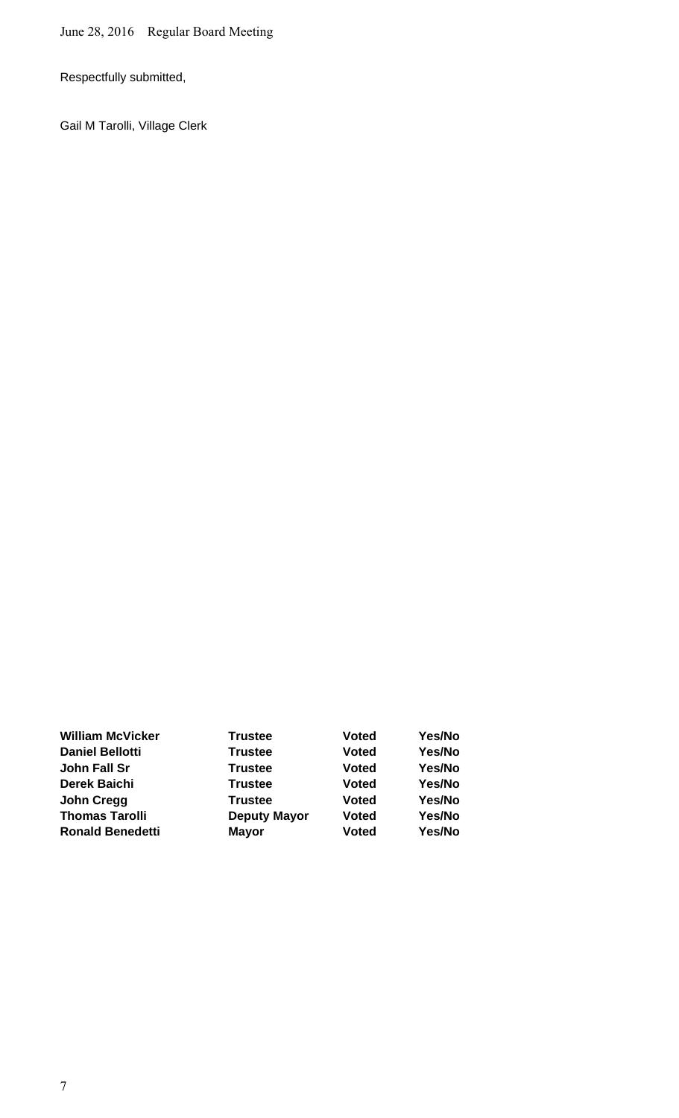June 28, 2016 Regular Board Meeting

Respectfully submitted,

Gail M Tarolli, Village Clerk

| <b>William McVicker</b> | <b>Trustee</b>      | Voted        | Yes/No |
|-------------------------|---------------------|--------------|--------|
| <b>Daniel Bellotti</b>  | <b>Trustee</b>      | <b>Voted</b> | Yes/No |
| John Fall Sr            | <b>Trustee</b>      | <b>Voted</b> | Yes/No |
| <b>Derek Baichi</b>     | <b>Trustee</b>      | Voted        | Yes/No |
| <b>John Cregg</b>       | <b>Trustee</b>      | <b>Voted</b> | Yes/No |
| <b>Thomas Tarolli</b>   | <b>Deputy Mayor</b> | <b>Voted</b> | Yes/No |
| <b>Ronald Benedetti</b> | <b>Mayor</b>        | <b>Voted</b> | Yes/No |